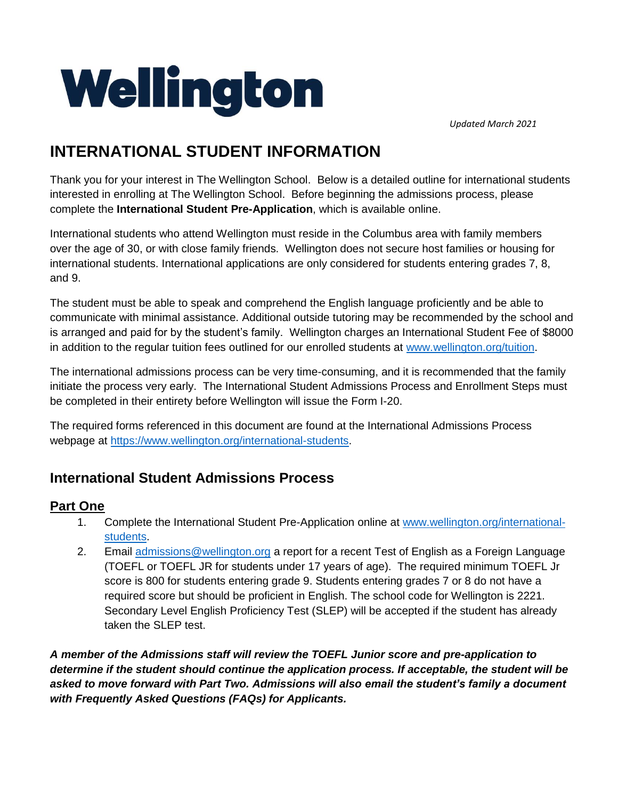

*Updated March 2021*

# **INTERNATIONAL STUDENT INFORMATION**

Thank you for your interest in The Wellington School. Below is a detailed outline for international students interested in enrolling at The Wellington School. Before beginning the admissions process, please complete the **International Student Pre-Application**, which is available online.

International students who attend Wellington must reside in the Columbus area with family members over the age of 30, or with close family friends. Wellington does not secure host families or housing for international students. International applications are only considered for students entering grades 7, 8, and 9.

The student must be able to speak and comprehend the English language proficiently and be able to communicate with minimal assistance. Additional outside tutoring may be recommended by the school and is arranged and paid for by the student's family. Wellington charges an International Student Fee of \$8000 in addition to the regular tuition fees outlined for our enrolled students at [www.wellington.org/tuition.](http://www.wellington.org/tuition)

The international admissions process can be very time-consuming, and it is recommended that the family initiate the process very early. The International Student Admissions Process and Enrollment Steps must be completed in their entirety before Wellington will issue the Form I-20.

The required forms referenced in this document are found at the International Admissions Process webpage at [https://www.wellington.org/international-students.](https://www.wellington.org/international-students)

# **International Student Admissions Process**

#### **Part One**

- 1. Complete the International Student Pre-Application online at [www.wellington.org/international](http://www.wellington.org/international-students)[students.](http://www.wellington.org/international-students)
- 2. Email [admissions@wellington.org](mailto:admissions@wellington.org) a report for a recent Test of English as a Foreign Language (TOEFL or TOEFL JR for students under 17 years of age). The required minimum TOEFL Jr score is 800 for students entering grade 9. Students entering grades 7 or 8 do not have a required score but should be proficient in English. The school code for Wellington is 2221. Secondary Level English Proficiency Test (SLEP) will be accepted if the student has already taken the SLEP test.

*A member of the Admissions staff will review the TOEFL Junior score and pre-application to determine if the student should continue the application process. If acceptable, the student will be asked to move forward with Part Two. Admissions will also email the student's family a document with Frequently Asked Questions (FAQs) for Applicants.*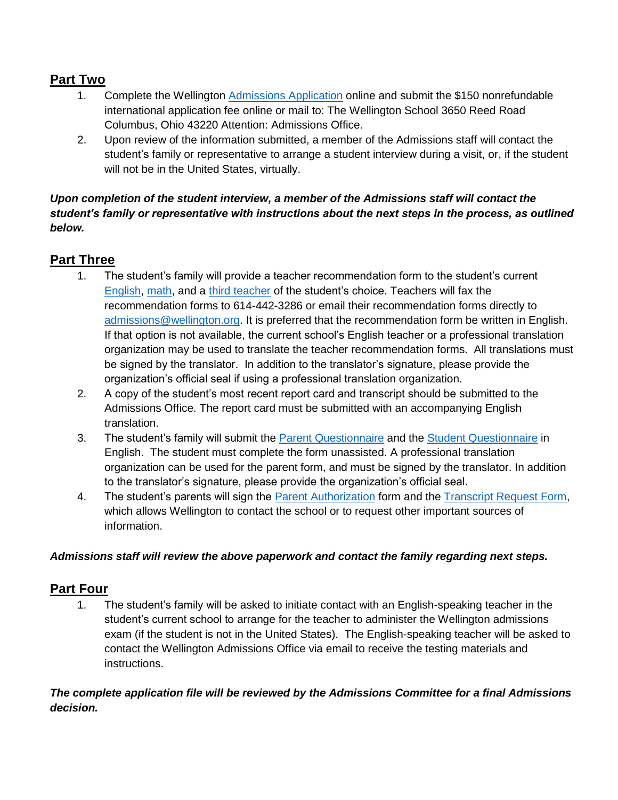### **Part Two**

- 1. Complete the Wellington [Admissions Application](https://forms.veracross.com/Forms/tws/Application/Household.aspx) online and submit the \$150 nonrefundable international application fee online or mail to: The Wellington School 3650 Reed Road Columbus, Ohio 43220 Attention: Admissions Office.
- 2. Upon review of the information submitted, a member of the Admissions staff will contact the student's family or representative to arrange a student interview during a visit, or, if the student will not be in the United States, virtually.

#### *Upon completion of the student interview, a member of the Admissions staff will contact the student's family or representative with instructions about the next steps in the process, as outlined below.*

### **Part Three**

- 1. The student's family will provide a teacher recommendation form to the student's current [English,](https://www.wellington.org/sites/default/files/downloads/2020-09/Teacher-Rec-English-Grades-5-12.pdf) [math,](https://www.wellington.org/sites/default/files/downloads/2020-09/Teacher-Rec-Math-Grades-5-12.pdf) and a [third teacher](https://www.wellington.org/sites/default/files/downloads/2020-09/Teacher-Rec-General-Grades-5-12.pdf) of the student's choice. Teachers will fax the recommendation forms to 614-442-3286 or email their recommendation forms directly to [admissions@wellington.org.](mailto:admissions@wellington.org) It is preferred that the recommendation form be written in English. If that option is not available, the current school's English teacher or a professional translation organization may be used to translate the teacher recommendation forms. All translations must be signed by the translator. In addition to the translator's signature, please provide the organization's official seal if using a professional translation organization.
- 2. A copy of the student's most recent report card and transcript should be submitted to the Admissions Office. The report card must be submitted with an accompanying English translation.
- 3. The student's family will submit the [Parent Questionnaire](https://www.wellington.org/sites/default/files/downloads/2020-09/Parent-Questionnaire-Grades-5-12.pdf) and the [Student Questionnaire](https://www.wellington.org/sites/default/files/downloads/2020-09/Student-Questionnaire-Grades-5-12.pdf) in English. The student must complete the form unassisted. A professional translation organization can be used for the parent form, and must be signed by the translator. In addition to the translator's signature, please provide the organization's official seal.
- 4. The student's parents will sign the [Parent Authorization](https://www.wellington.org/sites/default/files/downloads/2020-09/Parent%20Authorization.pdf) form and the [Transcript Request Form,](https://www.wellington.org/sites/default/files/downloads/2020-09/Transcript-Request-Form.pdf) which allows Wellington to contact the school or to request other important sources of information.

#### *Admissions staff will review the above paperwork and contact the family regarding next steps.*

### **Part Four**

1. The student's family will be asked to initiate contact with an English-speaking teacher in the student's current school to arrange for the teacher to administer the Wellington admissions exam (if the student is not in the United States). The English-speaking teacher will be asked to contact the Wellington Admissions Office via email to receive the testing materials and instructions.

*The complete application file will be reviewed by the Admissions Committee for a final Admissions decision.*